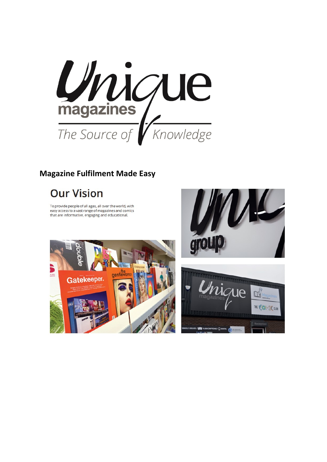

# **Magazine Fulfilment Made Easy**

# **Our Vision**

To provide people of all ages, all over the world, with easy access to a vast range of magazines and comics that are informative, engaging and educational.





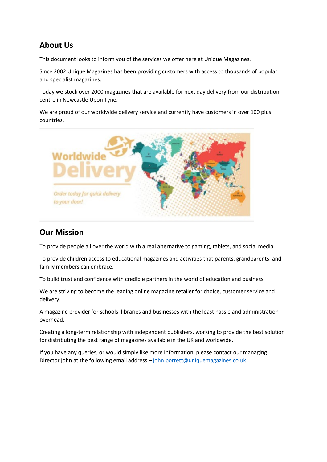### **About Us**

This document looks to inform you of the services we offer here at Unique Magazines.

Since 2002 Unique Magazines has been providing customers with access to thousands of popular and specialist magazines.

Today we stock over 2000 magazines that are available for next day delivery from our distribution centre in Newcastle Upon Tyne.

We are proud of our worldwide delivery service and currently have customers in over 100 plus countries.



### **Our Mission**

To provide people all over the world with a real alternative to gaming, tablets, and social media.

To provide children access to educational magazines and activities that parents, grandparents, and family members can embrace.

To build trust and confidence with credible partners in the world of education and business.

We are striving to become the leading online magazine retailer for choice, customer service and delivery.

A magazine provider for schools, libraries and businesses with the least hassle and administration overhead.

Creating a long-term relationship with independent publishers, working to provide the best solution for distributing the best range of magazines available in the UK and worldwide.

If you have any queries, or would simply like more information, please contact our managing Director john at the following email address - [john.porrett@uniquemagazines.co.uk](mailto:john.porrett@uniquemagazines.co.uk)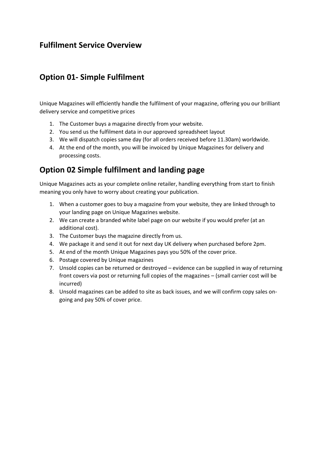### **Fulfilment Service Overview**

### **Option 01- Simple Fulfilment**

Unique Magazines will efficiently handle the fulfilment of your magazine, offering you our brilliant delivery service and competitive prices

- 1. The Customer buys a magazine directly from your website.
- 2. You send us the fulfilment data in our approved spreadsheet layout
- 3. We will dispatch copies same day (for all orders received before 11.30am) worldwide.
- 4. At the end of the month, you will be invoiced by Unique Magazines for delivery and processing costs.

### **Option 02 Simple fulfilment and landing page**

Unique Magazines acts as your complete online retailer, handling everything from start to finish meaning you only have to worry about creating your publication.

- 1. When a customer goes to buy a magazine from your website, they are linked through to your landing page on Unique Magazines website.
- 2. We can create a branded white label page on our website if you would prefer (at an additional cost).
- 3. The Customer buys the magazine directly from us.
- 4. We package it and send it out for next day UK delivery when purchased before 2pm.
- 5. At end of the month Unique Magazines pays you 50% of the cover price.
- 6. Postage covered by Unique magazines
- 7. Unsold copies can be returned or destroyed evidence can be supplied in way of returning front covers via post or returning full copies of the magazines – (small carrier cost will be incurred)
- 8. Unsold magazines can be added to site as back issues, and we will confirm copy sales ongoing and pay 50% of cover price.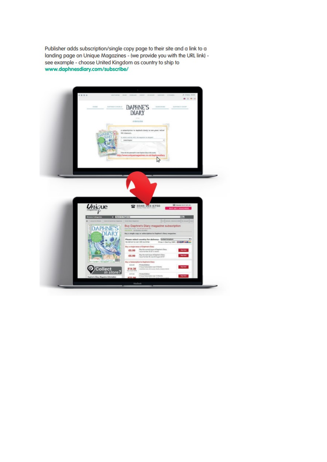Publisher adds subscription/single copy page to their site and a link to a landing page on Unique Magazines - (we provide you with the URL link) see example - choose United Kingdom as country to ship to www.daphnesdiary.com/subscribe/

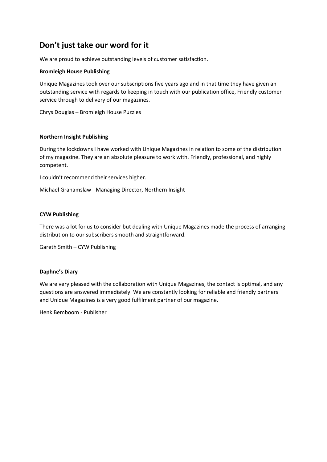### **Don't just take our word for it**

We are proud to achieve outstanding levels of customer satisfaction.

#### **Bromleigh House Publishing**

Unique Magazines took over our subscriptions five years ago and in that time they have given an outstanding service with regards to keeping in touch with our publication office, Friendly customer service through to delivery of our magazines.

Chrys Douglas – Bromleigh House Puzzles

#### **Northern Insight Publishing**

During the lockdowns I have worked with Unique Magazines in relation to some of the distribution of my magazine. They are an absolute pleasure to work with. Friendly, professional, and highly competent.

I couldn't recommend their services higher.

Michael Grahamslaw - Managing Director, Northern Insight

#### **CYW Publishing**

There was a lot for us to consider but dealing with Unique Magazines made the process of arranging distribution to our subscribers smooth and straightforward.

Gareth Smith – CYW Publishing

#### **Daphne's Diary**

We are very pleased with the collaboration with Unique Magazines, the contact is optimal, and any questions are answered immediately. We are constantly looking for reliable and friendly partners and Unique Magazines is a very good fulfilment partner of our magazine.

Henk Bemboom - Publisher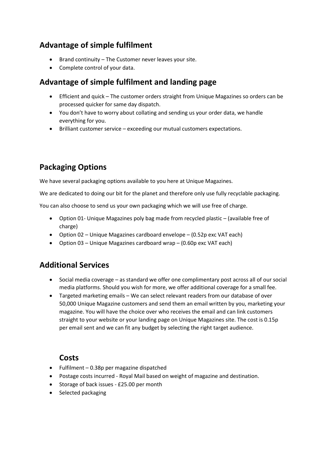### **Advantage of simple fulfilment**

- Brand continuity The Customer never leaves your site.
- Complete control of your data.

## **Advantage of simple fulfilment and landing page**

- Efficient and quick The customer orders straight from Unique Magazines so orders can be processed quicker for same day dispatch.
- You don't have to worry about collating and sending us your order data, we handle everything for you.
- Brilliant customer service exceeding our mutual customers expectations.

# **Packaging Options**

We have several packaging options available to you here at Unique Magazines.

We are dedicated to doing our bit for the planet and therefore only use fully recyclable packaging.

You can also choose to send us your own packaging which we will use free of charge.

- Option 01- Unique Magazines poly bag made from recycled plastic (available free of charge)
- Option 02 Unique Magazines cardboard envelope (0.52p exc VAT each)
- Option 03 Unique Magazines cardboard wrap (0.60p exc VAT each)

### **Additional Services**

- Social media coverage as standard we offer one complimentary post across all of our social media platforms. Should you wish for more, we offer additional coverage for a small fee.
- Targeted marketing emails We can select relevant readers from our database of over 50,000 Unique Magazine customers and send them an email written by you, marketing your magazine. You will have the choice over who receives the email and can link customers straight to your website or your landing page on Unique Magazines site. The cost is 0.15p per email sent and we can fit any budget by selecting the right target audience.

### **Costs**

- Fulfilment 0.38p per magazine dispatched
- Postage costs incurred Royal Mail based on weight of magazine and destination.
- Storage of back issues £25.00 per month
- Selected packaging